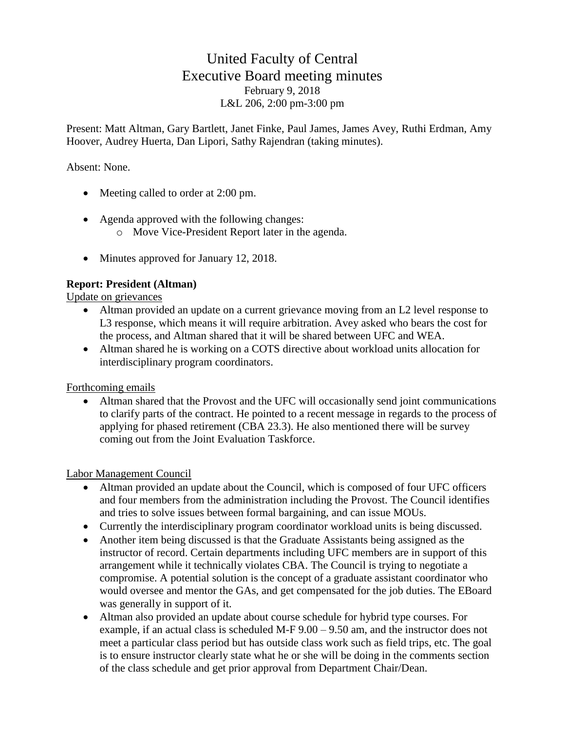# United Faculty of Central Executive Board meeting minutes February 9, 2018 L&L 206, 2:00 pm-3:00 pm

Present: Matt Altman, Gary Bartlett, Janet Finke, Paul James, James Avey, Ruthi Erdman, Amy Hoover, Audrey Huerta, Dan Lipori, Sathy Rajendran (taking minutes).

## Absent: None.

- Meeting called to order at 2:00 pm.
- Agenda approved with the following changes:
	- o Move Vice-President Report later in the agenda.
- Minutes approved for January 12, 2018.

# **Report: President (Altman)**

Update on grievances

- Altman provided an update on a current grievance moving from an L2 level response to L3 response, which means it will require arbitration. Avey asked who bears the cost for the process, and Altman shared that it will be shared between UFC and WEA.
- Altman shared he is working on a COTS directive about workload units allocation for interdisciplinary program coordinators.

Forthcoming emails

• Altman shared that the Provost and the UFC will occasionally send joint communications to clarify parts of the contract. He pointed to a recent message in regards to the process of applying for phased retirement (CBA 23.3). He also mentioned there will be survey coming out from the Joint Evaluation Taskforce.

Labor Management Council

- Altman provided an update about the Council, which is composed of four UFC officers and four members from the administration including the Provost. The Council identifies and tries to solve issues between formal bargaining, and can issue MOUs.
- Currently the interdisciplinary program coordinator workload units is being discussed.
- Another item being discussed is that the Graduate Assistants being assigned as the instructor of record. Certain departments including UFC members are in support of this arrangement while it technically violates CBA. The Council is trying to negotiate a compromise. A potential solution is the concept of a graduate assistant coordinator who would oversee and mentor the GAs, and get compensated for the job duties. The EBoard was generally in support of it.
- Altman also provided an update about course schedule for hybrid type courses. For example, if an actual class is scheduled M-F 9.00 – 9.50 am, and the instructor does not meet a particular class period but has outside class work such as field trips, etc. The goal is to ensure instructor clearly state what he or she will be doing in the comments section of the class schedule and get prior approval from Department Chair/Dean.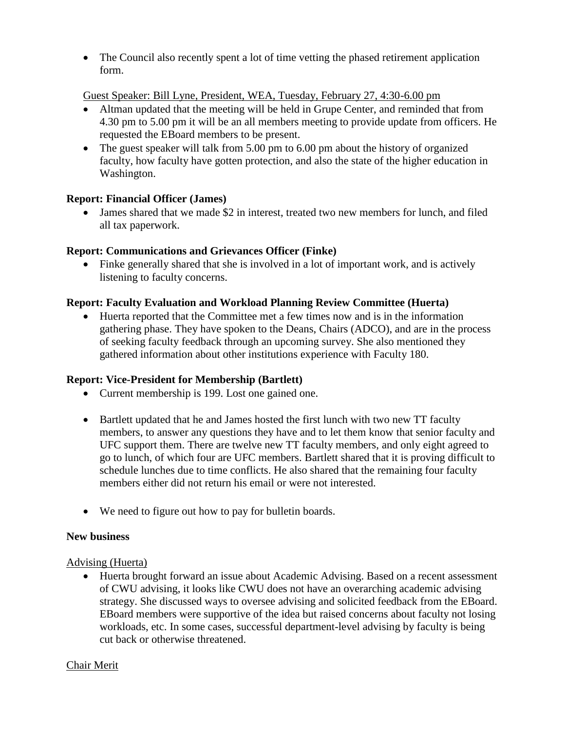• The Council also recently spent a lot of time vetting the phased retirement application form.

### Guest Speaker: Bill Lyne, President, WEA, Tuesday, February 27, 4:30-6.00 pm

- Altman updated that the meeting will be held in Grupe Center, and reminded that from 4.30 pm to 5.00 pm it will be an all members meeting to provide update from officers. He requested the EBoard members to be present.
- The guest speaker will talk from 5.00 pm to 6.00 pm about the history of organized faculty, how faculty have gotten protection, and also the state of the higher education in Washington.

# **Report: Financial Officer (James)**

• James shared that we made \$2 in interest, treated two new members for lunch, and filed all tax paperwork.

# **Report: Communications and Grievances Officer (Finke)**

• Finke generally shared that she is involved in a lot of important work, and is actively listening to faculty concerns.

### **Report: Faculty Evaluation and Workload Planning Review Committee (Huerta)**

• Huerta reported that the Committee met a few times now and is in the information gathering phase. They have spoken to the Deans, Chairs (ADCO), and are in the process of seeking faculty feedback through an upcoming survey. She also mentioned they gathered information about other institutions experience with Faculty 180.

# **Report: Vice-President for Membership (Bartlett)**

- Current membership is 199. Lost one gained one.
- Bartlett updated that he and James hosted the first lunch with two new TT faculty members, to answer any questions they have and to let them know that senior faculty and UFC support them. There are twelve new TT faculty members, and only eight agreed to go to lunch, of which four are UFC members. Bartlett shared that it is proving difficult to schedule lunches due to time conflicts. He also shared that the remaining four faculty members either did not return his email or were not interested.
- We need to figure out how to pay for bulletin boards.

#### **New business**

#### Advising (Huerta)

• Huerta brought forward an issue about Academic Advising. Based on a recent assessment of CWU advising, it looks like CWU does not have an overarching academic advising strategy. She discussed ways to oversee advising and solicited feedback from the EBoard. EBoard members were supportive of the idea but raised concerns about faculty not losing workloads, etc. In some cases, successful department-level advising by faculty is being cut back or otherwise threatened.

#### Chair Merit